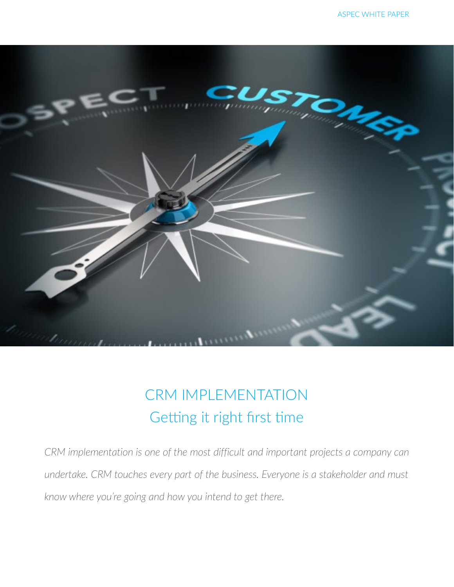

## CRM IMPLEMENTATION Getting it right first time

*CRM implementation is one of the most difficult and important projects a company can undertake. CRM touches every part of the business. Everyone is a stakeholder and must know where you're going and how you intend to get there.*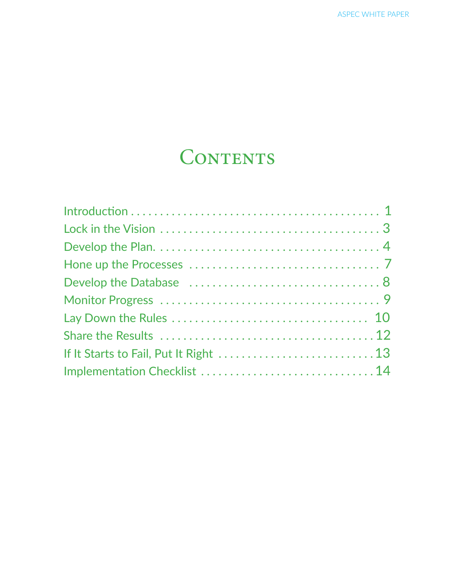# CONTENTS

| Implementation Checklist  14 |
|------------------------------|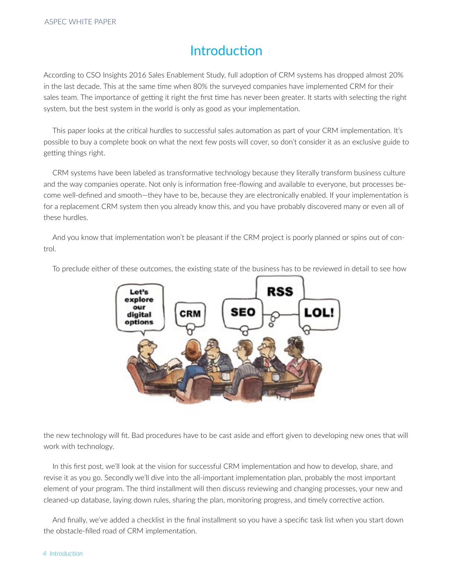#### Introduction

According to CSO Insights 2016 Sales Enablement Study, full adoption of CRM systems has dropped almost 20% in the last decade. This at the same time when 80% the surveyed companies have implemented CRM for their sales team. The importance of getting it right the first time has never been greater. It starts with selecting the right system, but the best system in the world is only as good as your implementation.

This paper looks at the critical hurdles to successful sales automation as part of your CRM implementation. It's possible to buy a complete book on what the next few posts will cover, so don't consider it as an exclusive guide to getting things right.

CRM systems have been labeled as transformative technology because they literally transform business culture and the way companies operate. Not only is information free-flowing and available to everyone, but processes become well-defined and smooth—they have to be, because they are electronically enabled. If your implementation is for a replacement CRM system then you already know this, and you have probably discovered many or even all of these hurdles.

And you know that implementation won't be pleasant if the CRM project is poorly planned or spins out of control.



To preclude either of these outcomes, the existing state of the business has to be reviewed in detail to see how

the new technology will fit. Bad procedures have to be cast aside and effort given to developing new ones that will work with technology.

In this first post, we'll look at the vision for successful CRM implementation and how to develop, share, and revise it as you go. Secondly we'll dive into the all-important implementation plan, probably the most important element of your program. The third installment will then discuss reviewing and changing processes, your new and cleaned-up database, laying down rules, sharing the plan, monitoring progress, and timely corrective action.

And finally, we've added a checklist in the final installment so you have a specific task list when you start down the obstacle-filled road of CRM implementation.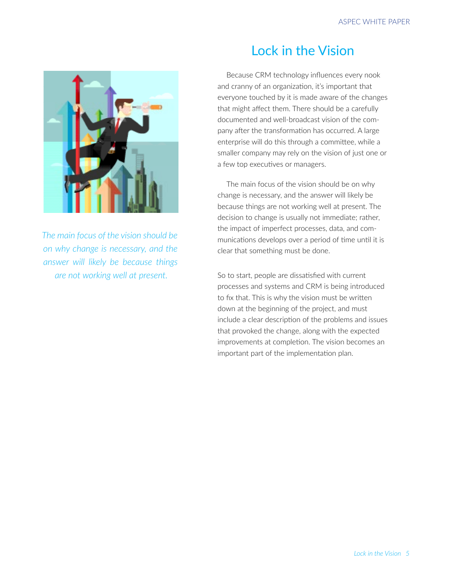

*The main focus of the vision should be on why change is necessary, and the answer will likely be because things are not working well at present.* 

#### Lock in the Vision

Because CRM technology influences every nook and cranny of an organization, it's important that everyone touched by it is made aware of the changes that might affect them. There should be a carefully documented and well-broadcast vision of the company after the transformation has occurred. A large enterprise will do this through a committee, while a smaller company may rely on the vision of just one or a few top executives or managers.

The main focus of the vision should be on why change is necessary, and the answer will likely be because things are not working well at present. The decision to change is usually not immediate; rather, the impact of imperfect processes, data, and communications develops over a period of time until it is clear that something must be done.

So to start, people are dissatisfied with current processes and systems and CRM is being introduced to fix that. This is why the vision must be written down at the beginning of the project, and must include a clear description of the problems and issues that provoked the change, along with the expected improvements at completion. The vision becomes an important part of the implementation plan.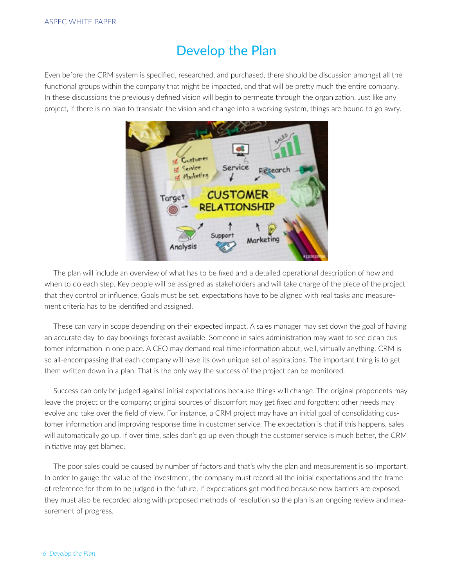#### Develop the Plan

Even before the CRM system is specified, researched, and purchased, there should be discussion amongst all the functional groups within the company that might be impacted, and that will be pretty much the entire company. In these discussions the previously defined vision will begin to permeate through the organization. Just like any project, if there is no plan to translate the vision and change into a working system, things are bound to go awry.



The plan will include an overview of what has to be fixed and a detailed operational description of how and when to do each step. Key people will be assigned as stakeholders and will take charge of the piece of the project that they control or influence. Goals must be set, expectations have to be aligned with real tasks and measurement criteria has to be identified and assigned.

These can vary in scope depending on their expected impact. A sales manager may set down the goal of having an accurate day-to-day bookings forecast available. Someone in sales administration may want to see clean customer information in one place. A CEO may demand real-time information about, well, virtually anything. CRM is so all-encompassing that each company will have its own unique set of aspirations. The important thing is to get them written down in a plan. That is the only way the success of the project can be monitored.

Success can only be judged against initial expectations because things will change. The original proponents may leave the project or the company; original sources of discomfort may get fixed and forgotten; other needs may evolve and take over the field of view. For instance, a CRM project may have an initial goal of consolidating customer information and improving response time in customer service. The expectation is that if this happens, sales will automatically go up. If over time, sales don't go up even though the customer service is much better, the CRM initiative may get blamed.

The poor sales could be caused by number of factors and that's why the plan and measurement is so important. In order to gauge the value of the investment, the company must record all the initial expectations and the frame of reference for them to be judged in the future. If expectations get modified because new barriers are exposed, they must also be recorded along with proposed methods of resolution so the plan is an ongoing review and measurement of progress.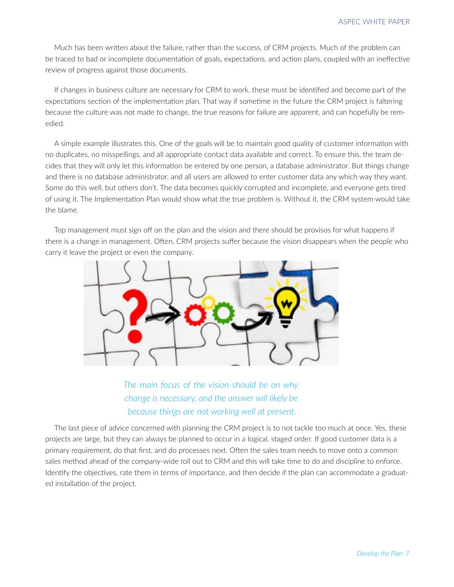Much has been written about the failure, rather than the success, of CRM projects. Much of the problem can be traced to bad or incomplete documentation of goals, expectations, and action plans, coupled with an ineffective review of progress against those documents.

If changes in business culture are necessary for CRM to work, these must be identified and become part of the expectations section of the implementation plan. That way if sometime in the future the CRM project is faltering because the culture was not made to change, the true reasons for failure are apparent, and can hopefully be remedied.

A simple example illustrates this. One of the goals will be to maintain good quality of customer information with no duplicates, no misspellings, and all appropriate contact data available and correct. To ensure this, the team decides that they will only let this information be entered by one person, a database administrator. But things change and there is no database administrator, and all users are allowed to enter customer data any which way they want. Some do this well, but others don't. The data becomes quickly corrupted and incomplete, and everyone gets tired of using it. The Implementation Plan would show what the true problem is. Without it, the CRM system would take the blame.

Top management must sign off on the plan and the vision and there should be provisos for what happens if there is a change in management. Often, CRM projects suffer because the vision disappears when the people who carry it leave the project or even the company.



*The main focus of the vision should be on why change is necessary, and the answer will likely be because things are not working well at present.* 

The last piece of advice concerned with planning the CRM project is to not tackle too much at once. Yes, these projects are large, but they can always be planned to occur in a logical, staged order. If good customer data is a primary requirement, do that first, and do processes next. Often the sales team needs to move onto a common sales method ahead of the company-wide roll out to CRM and this will take time to do and discipline to enforce. Identify the objectives, rate them in terms of importance, and then decide if the plan can accommodate a graduated installation of the project.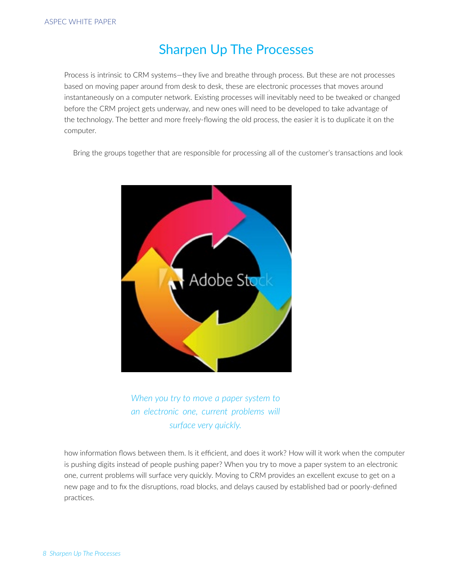## Sharpen Up The Processes

Process is intrinsic to CRM systems—they live and breathe through process. But these are not processes based on moving paper around from desk to desk, these are electronic processes that moves around instantaneously on a computer network. Existing processes will inevitably need to be tweaked or changed before the CRM project gets underway, and new ones will need to be developed to take advantage of the technology. The better and more freely-flowing the old process, the easier it is to duplicate it on the computer.

Bring the groups together that are responsible for processing all of the customer's transactions and look



*When you try to move a paper system to an electronic one, current problems will surface very quickly.*

how information flows between them. Is it efficient, and does it work? How will it work when the computer is pushing digits instead of people pushing paper? When you try to move a paper system to an electronic one, current problems will surface very quickly. Moving to CRM provides an excellent excuse to get on a new page and to fix the disruptions, road blocks, and delays caused by established bad or poorly-defined practices.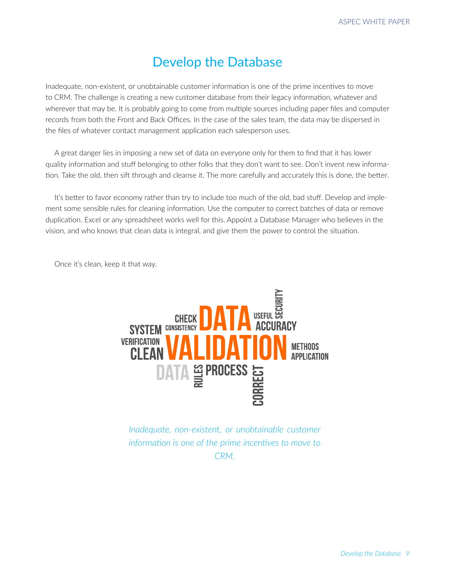#### Develop the Database

Inadequate, non-existent, or unobtainable customer information is one of the prime incentives to move to CRM. The challenge is creating a new customer database from their legacy information, whatever and wherever that may be. It is probably going to come from multiple sources including paper files and computer records from both the Front and Back Offices. In the case of the sales team, the data may be dispersed in the files of whatever contact management application each salesperson uses.

A great danger lies in imposing a new set of data on everyone only for them to find that it has lower quality information and stuff belonging to other folks that they don't want to see. Don't invent new information. Take the old, then sift through and cleanse it. The more carefully and accurately this is done, the better.

It's better to favor economy rather than try to include too much of the old, bad stuff. Develop and implement some sensible rules for cleaning information. Use the computer to correct batches of data or remove duplication. Excel or any spreadsheet works well for this. Appoint a Database Manager who believes in the vision, and who knows that clean data is integral, and give them the power to control the situation.

Once it's clean, keep it that way.



*Inadequate, non-existent, or unobtainable customer information is one of the prime incentives to move to CRM.*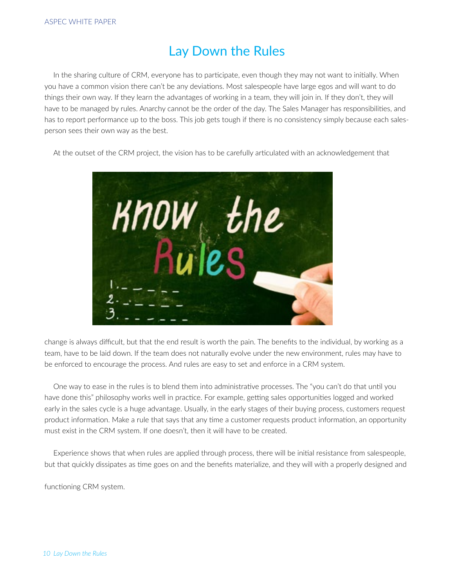## Lay Down the Rules

In the sharing culture of CRM, everyone has to participate, even though they may not want to initially. When you have a common vision there can't be any deviations. Most salespeople have large egos and will want to do things their own way. If they learn the advantages of working in a team, they will join in. If they don't, they will have to be managed by rules. Anarchy cannot be the order of the day. The Sales Manager has responsibilities, and has to report performance up to the boss. This job gets tough if there is no consistency simply because each salesperson sees their own way as the best.

At the outset of the CRM project, the vision has to be carefully articulated with an acknowledgement that



change is always difficult, but that the end result is worth the pain. The benefits to the individual, by working as a team, have to be laid down. If the team does not naturally evolve under the new environment, rules may have to be enforced to encourage the process. And rules are easy to set and enforce in a CRM system.

One way to ease in the rules is to blend them into administrative processes. The "you can't do that until you have done this" philosophy works well in practice. For example, getting sales opportunities logged and worked early in the sales cycle is a huge advantage. Usually, in the early stages of their buying process, customers request product information. Make a rule that says that any time a customer requests product information, an opportunity must exist in the CRM system. If one doesn't, then it will have to be created.

Experience shows that when rules are applied through process, there will be initial resistance from salespeople, but that quickly dissipates as time goes on and the benefits materialize, and they will with a properly designed and

functioning CRM system.